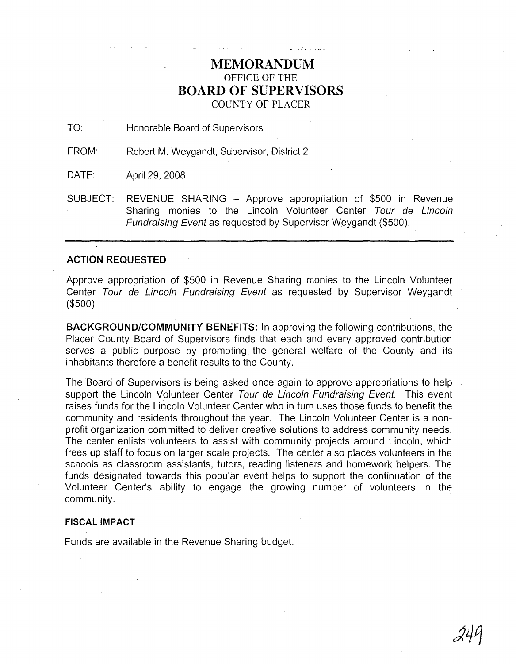## **MEMORANDUM** OFFICE OF THE **BOARD OF SUPERVISORS** COUNTY OF PLACER

TO: Honorable Board of Supervisors

FROM: Robert M. Weygandt, Supervisor, District 2

DATE: April 29, 2008

SUBJECT: REVENUE SHARING - Approve appropriation of \$500 in Revenue Sharing monies to the Lincoln Volunteer Center Tour de Lincoln Fundraising Event as requested by Supervisor Weygandt (\$500).

## **ACTION REQUESTED**

Approve appropriation of \$500 in Revenue Sharing monies to the Lincoln Volunteer Center Tour de Lincoln Fundraising Event as requested by Supervisor Weygandt (\$500).

**BACKGROUNDICOMMUNITY BENEFITS:** In approving the following contributions, the Placer County Board of Supervisors finds that each and every approved contribution serves a public purpose by promoting the general welfare of the County and its inhabitants therefore a benefit results to the County.

The Board of Supervisors is being asked once again to approve appropriations to help support the Lincoln Volunteer Center Tour de Lincoln Fundraising Event. This event raises funds for the Lincoln Volunteer Center who in turn uses those funds to benefit the community and residents throughout the year. The Lincoln Volunteer Center is a nonprofit organization committed to deliver creative solutions to address community needs. The center enlists volunteers to assist with community projects around Lincoln, which frees up staff to focus on larger scale projects. The center also places volunteers in the schools as classroom assistants, tutors, reading listeners and homework helpers. The funds designated towards this popular event helps to support the continuation of the Volunteer Center's ability to engage the growing number of volunteers in the community.

## **FISCAL IMPACT**

Funds are available in the Revenue Sharing budget.